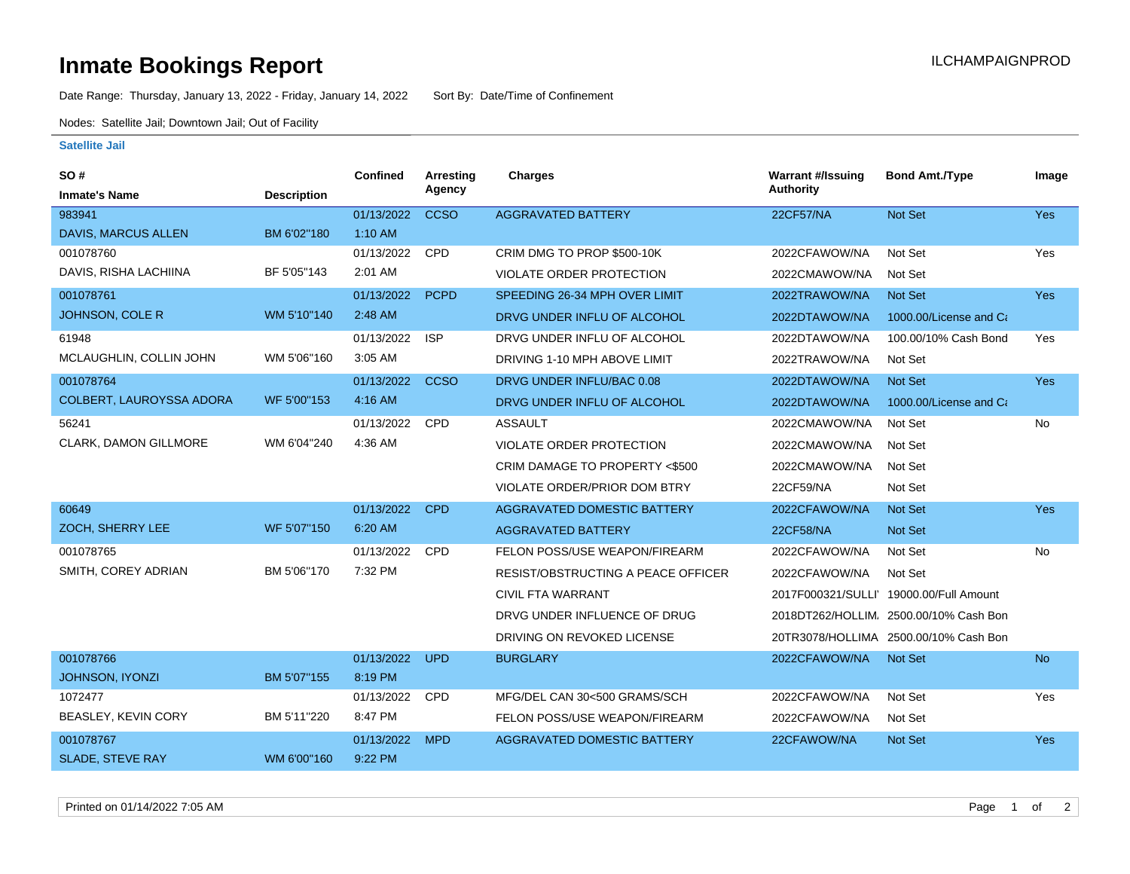## **Inmate Bookings Report Installation ILCHAMPAIGNPROD**

Date Range: Thursday, January 13, 2022 - Friday, January 14, 2022 Sort By: Date/Time of Confinement

Nodes: Satellite Jail; Downtown Jail; Out of Facility

## **Satellite Jail**

| SO#                        |                    | Confined   | Arresting   | <b>Charges</b>                     | <b>Warrant #/Issuing</b> | <b>Bond Amt./Type</b>                   | Image      |
|----------------------------|--------------------|------------|-------------|------------------------------------|--------------------------|-----------------------------------------|------------|
| <b>Inmate's Name</b>       | <b>Description</b> |            | Agency      |                                    | <b>Authority</b>         |                                         |            |
| 983941                     |                    | 01/13/2022 | <b>CCSO</b> | <b>AGGRAVATED BATTERY</b>          | 22CF57/NA                | <b>Not Set</b>                          | Yes        |
| <b>DAVIS, MARCUS ALLEN</b> | BM 6'02"180        | $1:10$ AM  |             |                                    |                          |                                         |            |
| 001078760                  |                    | 01/13/2022 | <b>CPD</b>  | CRIM DMG TO PROP \$500-10K         | 2022CFAWOW/NA            | Not Set                                 | Yes        |
| DAVIS, RISHA LACHIINA      | BF 5'05"143        | 2:01 AM    |             | <b>VIOLATE ORDER PROTECTION</b>    | 2022CMAWOW/NA            | Not Set                                 |            |
| 001078761                  |                    | 01/13/2022 | <b>PCPD</b> | SPEEDING 26-34 MPH OVER LIMIT      | 2022TRAWOW/NA            | Not Set                                 | <b>Yes</b> |
| <b>JOHNSON, COLE R</b>     | WM 5'10"140        | 2:48 AM    |             | DRVG UNDER INFLU OF ALCOHOL        | 2022DTAWOW/NA            | 1000.00/License and Ca                  |            |
| 61948                      |                    | 01/13/2022 | <b>ISP</b>  | DRVG UNDER INFLU OF ALCOHOL        | 2022DTAWOW/NA            | 100.00/10% Cash Bond                    | Yes        |
| MCLAUGHLIN, COLLIN JOHN    | WM 5'06"160        | 3:05 AM    |             | DRIVING 1-10 MPH ABOVE LIMIT       | 2022TRAWOW/NA            | Not Set                                 |            |
| 001078764                  |                    | 01/13/2022 | <b>CCSO</b> | DRVG UNDER INFLU/BAC 0.08          | 2022DTAWOW/NA            | Not Set                                 | <b>Yes</b> |
| COLBERT, LAUROYSSA ADORA   | WF 5'00"153        | 4:16 AM    |             | DRVG UNDER INFLU OF ALCOHOL        | 2022DTAWOW/NA            | 1000.00/License and Ca                  |            |
| 56241                      |                    | 01/13/2022 | CPD         | <b>ASSAULT</b>                     | 2022CMAWOW/NA            | Not Set                                 | No         |
| CLARK, DAMON GILLMORE      | WM 6'04"240        | 4:36 AM    |             | VIOLATE ORDER PROTECTION           | 2022CMAWOW/NA            | Not Set                                 |            |
|                            |                    |            |             | CRIM DAMAGE TO PROPERTY <\$500     | 2022CMAWOW/NA            | Not Set                                 |            |
|                            |                    |            |             | VIOLATE ORDER/PRIOR DOM BTRY       | 22CF59/NA                | Not Set                                 |            |
| 60649                      |                    | 01/13/2022 | <b>CPD</b>  | <b>AGGRAVATED DOMESTIC BATTERY</b> | 2022CFAWOW/NA            | <b>Not Set</b>                          | Yes        |
| ZOCH, SHERRY LEE           | WF 5'07"150        | 6:20 AM    |             | <b>AGGRAVATED BATTERY</b>          | <b>22CF58/NA</b>         | Not Set                                 |            |
| 001078765                  |                    | 01/13/2022 | <b>CPD</b>  | FELON POSS/USE WEAPON/FIREARM      | 2022CFAWOW/NA            | Not Set                                 | No         |
| SMITH, COREY ADRIAN        | BM 5'06"170        | 7:32 PM    |             | RESIST/OBSTRUCTING A PEACE OFFICER | 2022CFAWOW/NA            | Not Set                                 |            |
|                            |                    |            |             | <b>CIVIL FTA WARRANT</b>           |                          | 2017F000321/SULLI' 19000.00/Full Amount |            |
|                            |                    |            |             | DRVG UNDER INFLUENCE OF DRUG       |                          | 2018DT262/HOLLIM. 2500.00/10% Cash Bon  |            |
|                            |                    |            |             | DRIVING ON REVOKED LICENSE         |                          | 20TR3078/HOLLIMA 2500.00/10% Cash Bon   |            |
| 001078766                  |                    | 01/13/2022 | <b>UPD</b>  | <b>BURGLARY</b>                    | 2022CFAWOW/NA            | Not Set                                 | <b>No</b>  |
| <b>JOHNSON, IYONZI</b>     | BM 5'07"155        | 8:19 PM    |             |                                    |                          |                                         |            |
| 1072477                    |                    | 01/13/2022 | <b>CPD</b>  | MFG/DEL CAN 30<500 GRAMS/SCH       | 2022CFAWOW/NA            | Not Set                                 | Yes        |
| BEASLEY, KEVIN CORY        | BM 5'11"220        | 8:47 PM    |             | FELON POSS/USE WEAPON/FIREARM      | 2022CFAWOW/NA            | Not Set                                 |            |
| 001078767                  |                    | 01/13/2022 | <b>MPD</b>  | AGGRAVATED DOMESTIC BATTERY        | 22CFAWOW/NA              | <b>Not Set</b>                          | <b>Yes</b> |
| <b>SLADE, STEVE RAY</b>    | WM 6'00"160        | 9:22 PM    |             |                                    |                          |                                         |            |